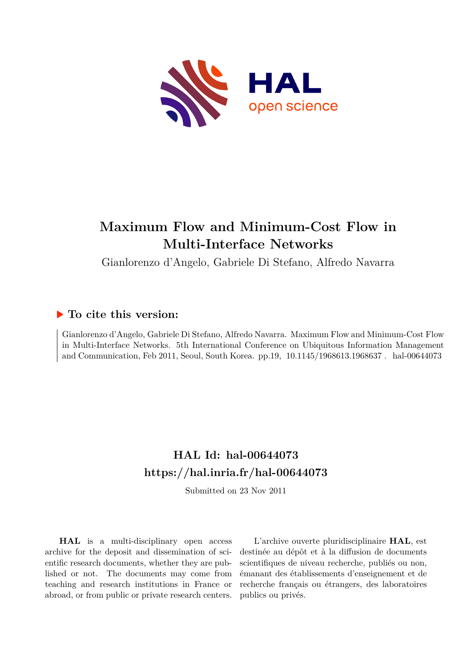

# **Maximum Flow and Minimum-Cost Flow in Multi-Interface Networks**

Gianlorenzo d'Angelo, Gabriele Di Stefano, Alfredo Navarra

## **To cite this version:**

Gianlorenzo d'Angelo, Gabriele Di Stefano, Alfredo Navarra. Maximum Flow and Minimum-Cost Flow in Multi-Interface Networks. 5th International Conference on Ubiquitous Information Management and Communication, Feb 2011, Seoul, South Korea. pp.19, 10.1145/1968613.1968637. hal-00644073

## **HAL Id: hal-00644073 <https://hal.inria.fr/hal-00644073>**

Submitted on 23 Nov 2011

**HAL** is a multi-disciplinary open access archive for the deposit and dissemination of scientific research documents, whether they are published or not. The documents may come from teaching and research institutions in France or abroad, or from public or private research centers.

L'archive ouverte pluridisciplinaire **HAL**, est destinée au dépôt et à la diffusion de documents scientifiques de niveau recherche, publiés ou non, émanant des établissements d'enseignement et de recherche français ou étrangers, des laboratoires publics ou privés.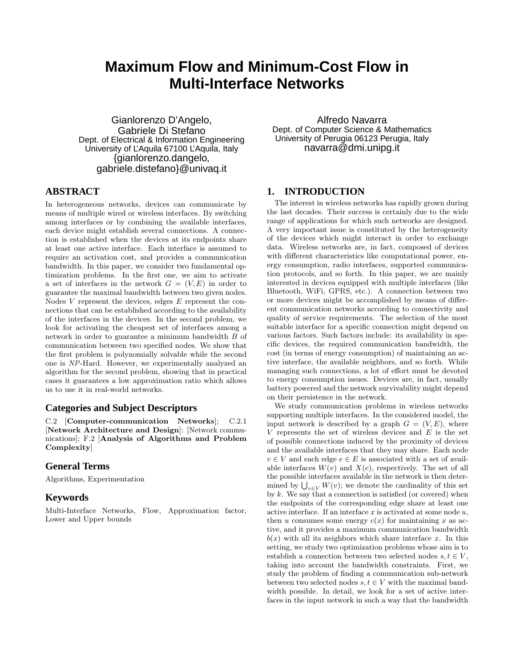## **Maximum Flow and Minimum-Cost Flow in Multi-Interface Networks**

Gianlorenzo D'Angelo, Gabriele Di Stefano Dept. of Electrical & Information Engineering University of L'Aquila 67100 L'Aquila, Italy {gianlorenzo.dangelo, gabriele.distefano}@univaq.it

#### **ABSTRACT**

In heterogeneous networks, devices can communicate by means of multiple wired or wireless interfaces. By switching among interfaces or by combining the available interfaces, each device might establish several connections. A connection is established when the devices at its endpoints share at least one active interface. Each interface is assumed to require an activation cost, and provides a communication bandwidth. In this paper, we consider two fundamental optimization problems. In the first one, we aim to activate a set of interfaces in the network  $G = (V, E)$  in order to guarantee the maximal bandwidth between two given nodes. Nodes  $V$  represent the devices, edges  $E$  represent the connections that can be established according to the availability of the interfaces in the devices. In the second problem, we look for activating the cheapest set of interfaces among a network in order to guarantee a minimum bandwidth B of communication between two specified nodes. We show that the first problem is polynomially solvable while the second one is NP-Hard. However, we experimentally analyzed an algorithm for the second problem, showing that in practical cases it guarantees a low approximation ratio which allows us to use it in real-world networks.

### **Categories and Subject Descriptors**

C.2 [Computer-communication Networks]; C.2.1 [Network Architecture and Design]: [Network communications]; F.2 [Analysis of Algorithms and Problem Complexity]

#### **General Terms**

Algorithms, Experimentation

#### **Keywords**

Multi-Interface Networks, Flow, Approximation factor, Lower and Upper bounds

Alfredo Navarra Dept. of Computer Science & Mathematics University of Perugia 06123 Perugia, Italy navarra@dmi.unipg.it

#### **1. INTRODUCTION**

The interest in wireless networks has rapidly grown during the last decades. Their success is certainly due to the wide range of applications for which such networks are designed. A very important issue is constituted by the heterogeneity of the devices which might interact in order to exchange data. Wireless networks are, in fact, composed of devices with different characteristics like computational power, energy consumption, radio interfaces, supported communication protocols, and so forth. In this paper, we are mainly interested in devices equipped with multiple interfaces (like Bluetooth, WiFi, GPRS, etc.). A connection between two or more devices might be accomplished by means of different communication networks according to connectivity and quality of service requirements. The selection of the most suitable interface for a specific connection might depend on various factors. Such factors include: its availability in specific devices, the required communication bandwidth, the cost (in terms of energy consumption) of maintaining an active interface, the available neighbors, and so forth. While managing such connections, a lot of effort must be devoted to energy consumption issues. Devices are, in fact, usually battery powered and the network survivability might depend on their persistence in the network.

We study communication problems in wireless networks supporting multiple interfaces. In the considered model, the input network is described by a graph  $G = (V, E)$ , where  $V$  represents the set of wireless devices and  $E$  is the set of possible connections induced by the proximity of devices and the available interfaces that they may share. Each node  $v \in V$  and each edge  $e \in E$  is associated with a set of available interfaces  $W(v)$  and  $X(e)$ , respectively. The set of all the possible interfaces available in the network is then deterthe possible interfaces available in the network is then determined by  $\bigcup_{v \in V} W(v)$ ; we denote the cardinality of this set by k. We say that a connection is satisfied (or covered) when the endpoints of the corresponding edge share at least one active interface. If an interface  $x$  is activated at some node  $u$ , then u consumes some energy  $c(x)$  for maintaining x as active, and it provides a maximum communication bandwidth  $b(x)$  with all its neighbors which share interface x. In this setting, we study two optimization problems whose aim is to establish a connection between two selected nodes  $s, t \in V$ , taking into account the bandwidth constraints. First, we study the problem of finding a communication sub-network between two selected nodes  $s, t \in V$  with the maximal bandwidth possible. In detail, we look for a set of active interfaces in the input network in such a way that the bandwidth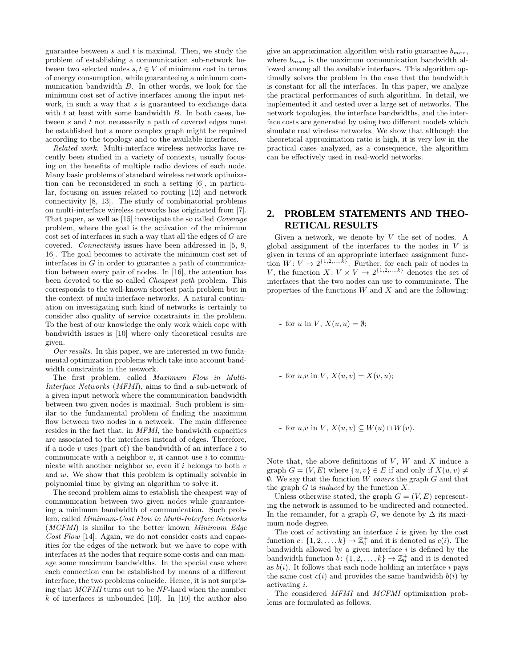guarantee between  $s$  and  $t$  is maximal. Then, we study the problem of establishing a communication sub-network between two selected nodes  $s, t \in V$  of minimum cost in terms of energy consumption, while guaranteeing a minimum communication bandwidth B. In other words, we look for the minimum cost set of active interfaces among the input network, in such a way that s is guaranteed to exchange data with  $t$  at least with some bandwidth  $B$ . In both cases, between s and t not necessarily a path of covered edges must be established but a more complex graph might be required according to the topology and to the available interfaces.

Related work. Multi-interface wireless networks have recently been studied in a variety of contexts, usually focusing on the benefits of multiple radio devices of each node. Many basic problems of standard wireless network optimization can be reconsidered in such a setting [6], in particular, focusing on issues related to routing [12] and network connectivity [8, 13]. The study of combinatorial problems on multi-interface wireless networks has originated from [7]. That paper, as well as [15] investigate the so called Coverage problem, where the goal is the activation of the minimum cost set of interfaces in such a way that all the edges of G are covered. Connectivity issues have been addressed in [5, 9, 16]. The goal becomes to activate the minimum cost set of interfaces in G in order to guarantee a path of communication between every pair of nodes. In [16], the attention has been devoted to the so called Cheapest path problem. This corresponds to the well-known shortest path problem but in the context of multi-interface networks. A natural continuation on investigating such kind of networks is certainly to consider also quality of service constraints in the problem. To the best of our knowledge the only work which cope with bandwidth issues is [10] where only theoretical results are given.

Our results. In this paper, we are interested in two fundamental optimization problems which take into account bandwidth constraints in the network.

The first problem, called Maximum Flow in Multi-Interface Networks (MFMI), aims to find a sub-network of a given input network where the communication bandwidth between two given nodes is maximal. Such problem is similar to the fundamental problem of finding the maximum flow between two nodes in a network. The main difference resides in the fact that, in MFMI, the bandwidth capacities are associated to the interfaces instead of edges. Therefore, if a node  $v$  uses (part of) the bandwidth of an interface  $i$  to communicate with a neighbor  $u$ , it cannot use  $i$  to communicate with another neighbor  $w$ , even if  $i$  belongs to both  $v$ and w. We show that this problem is optimally solvable in polynomial time by giving an algorithm to solve it.

The second problem aims to establish the cheapest way of communication between two given nodes while guaranteeing a minimum bandwidth of communication. Such problem, called Minimum-Cost Flow in Multi-Interface Networks (MCFMI) is similar to the better known Minimum Edge Cost Flow [14]. Again, we do not consider costs and capacities for the edges of the network but we have to cope with interfaces at the nodes that require some costs and can manage some maximum bandwidths. In the special case where each connection can be established by means of a different interface, the two problems coincide. Hence, it is not surprising that MCFMI turns out to be NP-hard when the number  $k$  of interfaces is unbounded [10]. In [10] the author also

give an approximation algorithm with ratio guarantee  $b_{max}$ , where  $b_{max}$  is the maximum communication bandwidth allowed among all the available interfaces. This algorithm optimally solves the problem in the case that the bandwidth is constant for all the interfaces. In this paper, we analyze the practical performances of such algorithm. In detail, we implemented it and tested over a large set of networks. The network topologies, the interface bandwidths, and the interface costs are generated by using two different models which simulate real wireless networks. We show that although the theoretical approximation ratio is high, it is very low in the practical cases analyzed, as a consequence, the algorithm can be effectively used in real-world networks.

### **2. PROBLEM STATEMENTS AND THEO-RETICAL RESULTS**

Given a network, we denote by  $V$  the set of nodes. A global assignment of the interfaces to the nodes in  $V$  is given in terms of an appropriate interface assignment function  $W: V \to 2^{\{1, 2, ..., k\}}$ . Further, for each pair of nodes in V, the function  $X: V \times V \to 2^{\{1,2,\ldots,k\}}$  denotes the set of interfaces that the two nodes can use to communicate. The properties of the functions  $W$  and  $X$  and are the following:

- for u in V,  $X(u, u) = \emptyset$ ;

- for  $u, v$  in  $V, X(u, v) = X(v, u);$ 

- for  $u, v$  in  $V, X(u, v) \subseteq W(u) \cap W(v)$ .

Note that, the above definitions of  $V$ ,  $W$  and  $X$  induce a graph  $G = (V, E)$  where  $\{u, v\} \in E$  if and only if  $X(u, v) \neq$  $\emptyset$ . We say that the function W covers the graph G and that the graph  $G$  is *induced* by the function  $X$ .

Unless otherwise stated, the graph  $G = (V, E)$  representing the network is assumed to be undirected and connected. In the remainder, for a graph G, we denote by  $\Delta$  its maximum node degree.

The cost of activating an interface  $i$  is given by the cost function  $c: \{1, 2, ..., k\} \rightarrow \mathbb{Z}_0^+$  and it is denoted as  $c(i)$ . The bandwidth allowed by a given interface  $i$  is defined by the bandwidth function  $b: \{1, 2, ..., k\} \rightarrow \mathbb{Z}_{0}^{+}$  and it is denoted as  $b(i)$ . It follows that each node holding an interface i pays the same cost  $c(i)$  and provides the same bandwidth  $b(i)$  by activating i.

The considered MFMI and MCFMI optimization problems are formulated as follows.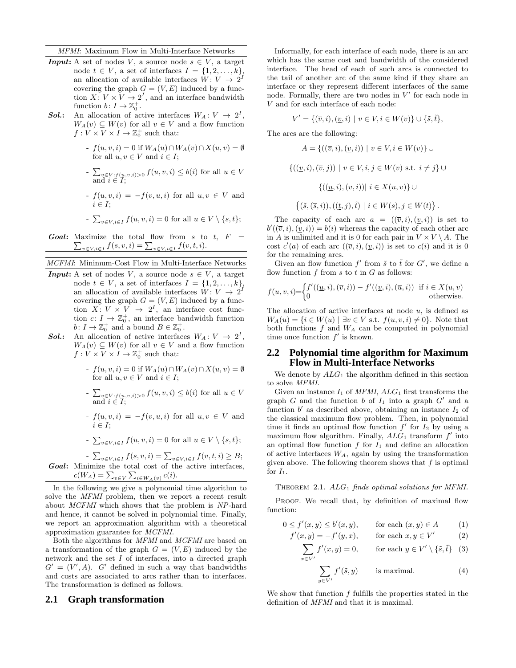MFMI: Maximum Flow in Multi-Interface Networks

- **Input:** A set of nodes V, a source node  $s \in V$ , a target node  $t \in V$ , a set of interfaces  $I = \{1, 2, \ldots, k\},\$ an allocation of available interfaces  $W: V \to 2^I$ covering the graph  $G = (V, E)$  induced by a function  $X: V \times V \to 2^I$ , and an interface bandwidth function  $b: I \to \mathbb{Z}_0^+$ .
- **Sol.:** An allocation of active interfaces  $W_A: V \to 2^I$ ,  $W_A(v) \subseteq W(v)$  for all  $v \in V$  and a flow function  $f: V \times V \times I \to \mathbb{Z}_0^+$  such that:
	- $-f(u, v, i) = 0$  if  $W_A(u) \cap W_A(v) \cap X(u, v) = \emptyset$ for all  $u, v \in V$  and  $i \in I$ ;
	- $\sum$  $v \in V : f(u,v,i) > 0$   $f(u,v,i) \leq b(i)$  for all  $u \in V$ and  $i \in I$ ;
	- $-f(u, v, i) = -f(v, u, i)$  for all  $u, v \in V$  and  $i \in I$ ;

- 
$$
\sum_{v \in V, i \in I} f(u, v, i) = 0 \text{ for all } u \in V \setminus \{s, t\};
$$

- **Goal:** Maximize the total flow from s to t,  $F =$ aximize the total flow from s to  $v \in V, i \in I$   $f(s, v, i) = \sum_{v \in V, i \in I} f(v, t, i)$ .
- MCFMI: Minimum-Cost Flow in Multi-Interface Networks
- **Input:** A set of nodes V, a source node  $s \in V$ , a target node  $t \in V$ , a set of interfaces  $I = \{1, 2, ..., k\}$ , an allocation of available interfaces  $W: V \to 2^I$ covering the graph  $G = (V, E)$  induced by a function  $X: V \times V \rightarrow 2^I$ , an interface cost function  $c: I \to \mathbb{Z}_0^+$ , an interface bandwidth function  $b\colon I\to \mathbb{Z}_0^+$  and a bound  $B\in \mathbb{Z}_0^+$ .
- **Sol.:** An allocation of active interfaces  $W_A: V \to 2^I$ ,  $W_A(v) \subseteq W(v)$  for all  $v \in V$  and a flow function  $f: V \times V \times I \to \mathbb{Z}_0^+$  such that:
	- $-f(u, v, i) = 0$  if  $W_A(u) \cap W_A(v) \cap X(u, v) = \emptyset$ for all  $u, v \in V$  and  $i \in I$ ;
	- $\sum$  $v \in V : f(u,v,i) > 0$   $f(u,v,i) \leq b(i)$  for all  $u \in V$ and  $i \in I$ ;
	- $f(u, v, i) = -f(v, u, i)$  for all  $u, v \in V$  and  $i \in I$ :
	- $\sum$  $v \in V, i \in I$   $f(u, v, i) = 0$  for all  $u \in V \setminus \{s, t\};$

 $-\sum$  $v \in V, i \in I} f(s, v, i) = \sum_{v \in V, i \in I} f(v, t, i) \geq B;$ **Goal:** Minimize the total cost of the active interfaces, Minimize the total cost of the  $c(W_A) = \sum_{v \in V} \sum_{i \in W_A(v)} c(i)$ .

In the following we give a polynomial time algorithm to solve the MFMI problem, then we report a recent result about MCFMI which shows that the problem is NP-hard and hence, it cannot be solved in polynomial time. Finally, we report an approximation algorithm with a theoretical approximation guarantee for MCFMI.

Both the algorithms for MFMI and MCFMI are based on a transformation of the graph  $G = (V, E)$  induced by the network and the set I of interfaces, into a directed graph  $G' = (V', A)$ . G' defined in such a way that bandwidths and costs are associated to arcs rather than to interfaces. The transformation is defined as follows.

#### **2.1 Graph transformation**

Informally, for each interface of each node, there is an arc which has the same cost and bandwidth of the considered interface. The head of each of such arcs is connected to the tail of another arc of the same kind if they share an interface or they represent different interfaces of the same node. Formally, there are two nodes in  $V'$  for each node in V and for each interface of each node:

$$
V' = \{(\overline{v}, i), (\underline{v}, i) \mid v \in V, i \in W(v)\} \cup \{\tilde{s}, \tilde{t}\},\
$$

The arcs are the following:

$$
A = \{ ((\overline{v}, i), (\underline{v}, i)) \mid v \in V, i \in W(v) \} \cup
$$
  

$$
\{ ((\underline{v}, i), (\overline{v}, j)) \mid v \in V, i, j \in W(v) \text{ s.t. } i \neq j \} \cup
$$
  

$$
\{ ((\underline{u}, i), (\overline{v}, i)) \mid i \in X(u, v) \} \cup
$$
  

$$
\{ (\tilde{s}, (\overline{s}, i)), ((\underline{t}, j), \tilde{t}) \mid i \in W(s), j \in W(t) \}.
$$

The capacity of each arc  $a = ((\overline{v}, i), (v, i))$  is set to  $b'((\overline{v}, i), (\underline{v}, i)) = b(i)$  whereas the capacity of each other arc in A is unlimited and it is 0 for each pair in  $V \times V \setminus A$ . The cost  $c'(a)$  of each arc  $((\overline{v}, i), (\underline{v}, i))$  is set to  $c(i)$  and it is 0 for the remaining arcs.

Given an flow function  $f'$  from  $\tilde{s}$  to  $\tilde{t}$  for  $G'$ , we define a flow function  $f$  from  $s$  to  $t$  in  $G$  as follows:

$$
f(u, v, i) = \begin{cases} f'((\underline{u}, i), (\overline{v}, i)) - f'((\underline{v}, i), (\overline{u}, i)) & \text{if } i \in X(u, v) \\ 0 & \text{otherwise.} \end{cases}
$$

The allocation of active interfaces at node  $u$ , is defined as  $W_A(u) = \{i \in W(u) \mid \exists v \in V \text{ s.t. } f(u, v, i) \neq 0\}.$  Note that both functions  $f$  and  $W_A$  can be computed in polynomial time once function  $f'$  is known.

#### **2.2 Polynomial time algorithm for Maximum Flow in Multi-Interface Networks**

We denote by  $ALG_1$  the algorithm defined in this section to solve MFMI.

Given an instance  $I_1$  of MFMI,  $ALG_1$  first transforms the graph  $G$  and the function  $b$  of  $I_1$  into a graph  $G'$  and a function  $b'$  as described above, obtaining an instance  $I_2$  of the classical maximum flow problem. Then, in polynomial time it finds an optimal flow function  $f'$  for  $I_2$  by using a maximum flow algorithm. Finally,  $ALG_1$  transform  $f'$  into an optimal flow function  $f$  for  $I_1$  and define an allocation of active interfaces  $W_A$ , again by using the transformation given above. The following theorem shows that  $f$  is optimal for  $I_1$ .

THEOREM 2.1.  $ALG_1$  finds optimal solutions for MFMI.

PROOF. We recall that, by definition of maximal flow function:

$$
0 \le f'(x, y) \le b'(x, y), \qquad \text{for each } (x, y) \in A \tag{1}
$$

$$
f'(x, y) = -f'(y, x), \qquad \text{for each } x, y \in V' \tag{2}
$$

$$
\sum_{x \in V'} f'(x, y) = 0, \quad \text{for each } y \in V' \setminus \{\tilde{s}, \tilde{t}\} \quad (3)
$$

$$
\sum_{y \in V'} f'(\tilde{s}, y) \qquad \text{is maximal.} \tag{4}
$$

We show that function  $f$  fulfills the properties stated in the definition of MFMI and that it is maximal.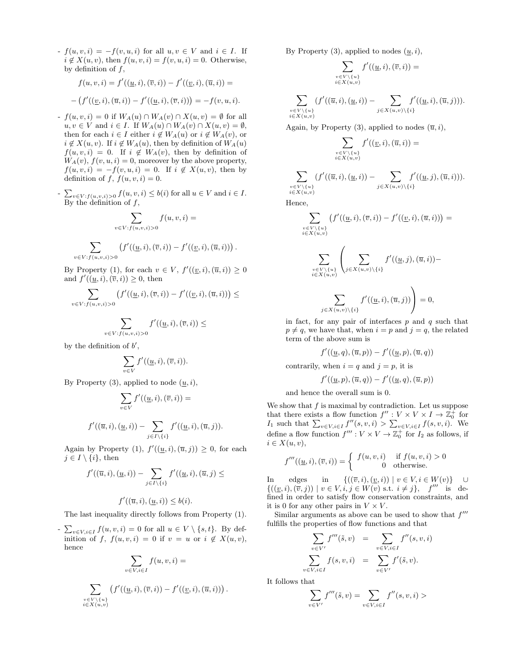$-f(u, v, i) = -f(v, u, i)$  for all  $u, v \in V$  and  $i \in I$ . If  $i \notin X(u, v)$ , then  $f(u, v, i) = f(v, u, i) = 0$ . Otherwise, by definition of  $f$ ,

$$
f(u, v, i) = f'((\underline{u}, i), (\overline{v}, i)) - f'((\underline{v}, i), (\overline{u}, i)) =
$$
  
- 
$$
(f'((\underline{v}, i), (\overline{u}, i)) - f'((\underline{u}, i), (\overline{v}, i))) = -f(v, u, i).
$$

- $-f(u, v, i) = 0$  if  $W_A(u) \cap W_A(v) \cap X(u, v) = \emptyset$  for all  $u, v \in V$  and  $i \in I$ . If  $W_A(u) \cap W_A(v) \cap X(u, v) = \emptyset$ , then for each  $i \in I$  either  $i \notin W_A(u)$  or  $i \notin W_A(v)$ , or  $i \notin X(u, v)$ . If  $i \notin W_A(u)$ , then by definition of  $W_A(u)$  $f(u, v, i) = 0$ . If  $i \notin W_A(v)$ , then by definition of  $W_A(v)$ ,  $f(v, u, i) = 0$ , moreover by the above property,  $f(u, v, i) = -f(v, u, i) = 0$ . If  $i \notin X(u, v)$ , then by definition of  $f, f(u, v, i) = 0$ .
- $\overline{ }$  $v \in V : f(u, v, i) > 0$   $f(u, v, i) \leq b(i)$  for all  $u \in V$  and  $i \in I$ . By the definition of  $f$ ,

$$
\sum_{v \in V: f(u,v,i) > 0} f(u,v,i) =
$$
\n
$$
\sum \left( f'((u,i),(\overline{v},i)) - f'((\underline{v},i),(\overline{u},i)) \right).
$$

$$
\sum_{v \in V: f(u,v,i) > 0} (J \cup
$$

By Property (1), for each  $v \in V$ ,  $f'((\underline{v},i),(\overline{u},i)) \geq 0$ and  $f'(\overline{(u, i)}, \overline{(v, i)}) \geq 0$ , then

$$
\sum_{v\in V: f(u,v,i)>0} \big(f'((\underline{u},i),(\overline{v},i))-f'((\underline{v},i),(\overline{u},i))\big)\le
$$

$$
\sum_{v\in V: f(u,v,i)>0} f'((\underline{u},i),(\overline{v},i))\leq
$$

by the definition of  $b'$ ,

$$
\sum_{v \in V} f'((\underline{u}, i), (\overline{v}, i)).
$$

By Property  $(3)$ , applied to node  $(u, i)$ ,

$$
\sum_{v \in V} f'((\underline{u}, i), (\overline{v}, i)) =
$$

$$
f'((\overline{u},i),(\underline{u},i)) - \sum_{j \in I \setminus \{i\}} f'((\underline{u},i),(\overline{u},j)).
$$

Again by Property (1),  $f'((\underline{u}, i), (\overline{u}, j)) \geq 0$ , for each  $j \in I \setminus \{i\}$ , then

$$
f'((\overline{u},i),(\underline{u},i))-\sum_{j\in I\setminus\{i\}}f'((\underline{u},i),(\overline{u},j)\leq
$$

$$
f'((\overline{u},i),(\underline{u},i)) \leq b(i).
$$

The last inequality directly follows from Property (1).

-  $\overline{ }$  $v \in V, i \in I$   $f(u, v, i) = 0$  for all  $u \in V \setminus \{s, t\}$ . By definition of f,  $f(u, v, i) = 0$  if  $v = u$  or  $i \notin X(u, v)$ , hence

$$
\sum_{v \in V, i \in I} f(u, v, i) =
$$

$$
\sum_{v \in V \setminus \{u\}} \left( f'((\underline{u}, i), (\overline{v}, i)) - f'((\underline{v}, i), (\overline{u}, i)) \right).
$$

By Property (3), applied to nodes  $(\underline{u}, i)$ ,

$$
\sum_{\substack{v \in V \setminus \{u\} \\ i \in X(u,v)}} f'((\underline{u},i),(\overline{v},i)) =
$$

$$
\sum_{\substack{v \in V \setminus \{u\} \\ i \in X(u,v)}} (f'((\overline{u},i),(\underline{u},i)) - \sum_{j \in X(u,v) \setminus \{i\}} f'((\underline{u},i),(\overline{u},j))).
$$

Again, by Property (3), applied to nodes  $(\overline{u}, i)$ ,

$$
\sum_{\substack{v \in V \setminus \{u\} \\ i \in X(u,v)}} f'((\underline{v}, i), (\overline{u}, i)) =
$$
  

$$
f'((\overline{u}, i), (\underline{u}, i)) - \sum f'((\underline{u}, j), (\overline{u}, i))
$$

$$
\sum_{\substack{v \in V \setminus \{u\} \\ i \in X(u,v)}} (f'((\overline{u},i),(\underline{u},i)) - \sum_{j \in X(u,v) \setminus \{i\}} f'((\underline{u},j),(\overline{u},i))).
$$

Hence,

$$
\sum_{\substack{v \in V \setminus \{u\} \\ i \in X(u,v)}} \left( f'((\underline{u},i),(\overline{v},i)) - f'((\underline{v},i),(\overline{u},i)) \right) = \\ \sum_{\substack{v \in V \setminus \{u\} \\ i \in X(u,v)}} \left( \sum_{j \in X(u,v) \setminus \{i\}} f'((\underline{u},j),(\overline{u},i)) - \right)
$$

$$
\sum_{j \in X(u,v) \setminus \{i\}} f'((\underline{u}, i), (\overline{u}, j)) \Bigg) = 0,
$$

in fact, for any pair of interfaces  $p$  and  $q$  such that  $p \neq q$ , we have that, when  $i = p$  and  $j = q$ , the related term of the above sum is

$$
f'((\underline{u},q),(\overline{u},p))-f'((\underline{u},p),(\overline{u},q))
$$

contrarily, when  $i = q$  and  $j = p$ , it is

$$
f'((\underline{u}, p), (\overline{u}, q)) - f'((\underline{u}, q), (\overline{u}, p))
$$

and hence the overall sum is 0.

We show that  $f$  is maximal by contradiction. Let us suppose that there exists a flow function  $f'' : V \times V \times I \to \overline{\mathbb{Z}}_0^+$  for that there exists a now function  $J: V \times V \times I \to \mathbb{Z}_0$  for  $I_1$  such that  $\sum_{v \in V, i \in I} f''(s, v, i) > \sum_{v \in V, i \in I} f(s, v, i)$ . We define a flow function  $f''' : V \times V \to \mathbb{Z}_0^+$  for  $I_2$  as follows, if  $i \in X(u, v),$ 

$$
f'''((\underline{u},i),(\overline{v},i)) = \begin{cases} f(u,v,i) & \text{if } f(u,v,i) > 0\\ 0 & \text{otherwise.} \end{cases}
$$

In edges in  $\{((\overline{v}, i), (\underline{v}, i)) \mid v \in V, i \in W(v)\}$  ∪  $\{((\underline{v}, i), (\overline{v}, j)) \mid v \in V, i, j \in W(v) \text{ s.t. } i \neq j\}, \quad f''' \text{ is de-}$ fined in order to satisfy flow conservation constraints, and it is 0 for any other pairs in  $V \times V$ .

Similar arguments as above can be used to show that  $f'''$ fulfills the properties of flow functions and that

$$
\sum_{v \in V'} f'''(\tilde{s}, v) = \sum_{v \in V, i \in I} f''(s, v, i)
$$

$$
\sum_{v \in V, i \in I} f(s, v, i) = \sum_{v \in V'} f'(\tilde{s}, v).
$$

It follows that

 $\hat{v}$ 

$$
\sum_{v \in V'} f'''(\tilde{s}, v) = \sum_{v \in V, i \in I} f''(s, v, i) >
$$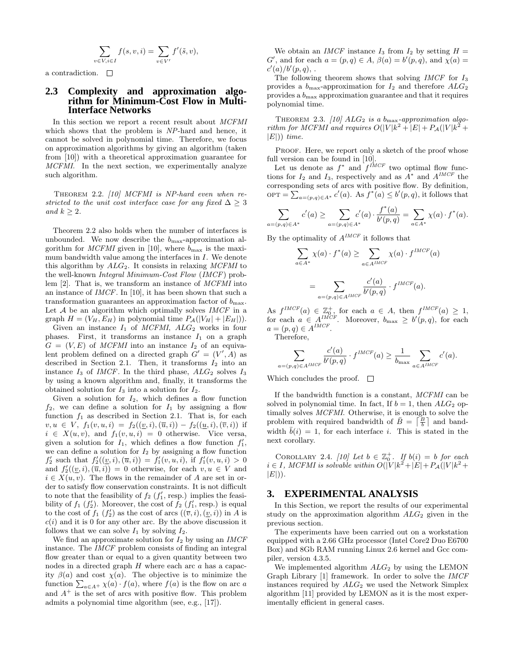$$
\sum_{v \in V, i \in I} f(s, v, i) = \sum_{v \in V'} f'(\tilde{s}, v),
$$

a contradiction.  $\Box$ 

#### **2.3 Complexity and approximation algorithm for Minimum-Cost Flow in Multi-Interface Networks**

In this section we report a recent result about MCFMI which shows that the problem is NP-hard and hence, it cannot be solved in polynomial time. Therefore, we focus on approximation algorithms by giving an algorithm (taken from [10]) with a theoretical approximation guarantee for MCFMI. In the next section, we experimentally analyze such algorithm.

THEOREM 2.2. [10] MCFMI is NP-hard even when restricted to the unit cost interface case for any fixed  $\Delta > 3$ and  $k \geq 2$ .

Theorem 2.2 also holds when the number of interfaces is unbounded. We now describe the  $b_{\text{max}}$ -approximation algorithm for *MCFMI* given in [10], where  $b_{\text{max}}$  is the maximum bandwidth value among the interfaces in I. We denote this algorithm by  $ALG_2$ . It consists in relaxing MCFMI to the well-known Integral Minimum-Cost Flow (IMCF) problem [2]. That is, we transform an instance of MCFMI into an instance of IMCF. In [10], it has been shown that such a transformation guarantees an approximation factor of  $b_{\rm max}.$ Let  $A$  be an algorithm which optimally solves  $IMCF$  in a graph  $H = (V_H, E_H)$  in polynomial time  $P_{\mathcal{A}}(|V_H| + |E_H|)).$ 

Given an instance  $I_1$  of *MCFMI*,  $ALG_2$  works in four phases. First, it transforms an instance  $I_1$  on a graph  $G = (V, E)$  of *MCFMI* into an instance  $I_2$  of an equivalent problem defined on a directed graph  $G' = (V', A)$  as described in Section 2.1. Then, it transforms  $I_2$  into an instance  $I_3$  of *IMCF*. In the third phase,  $ALG_2$  solves  $I_3$ by using a known algorithm and, finally, it transforms the obtained solution for  $I_3$  into a solution for  $I_2$ .

Given a solution for  $I_2$ , which defines a flow function  $f_2$ , we can define a solution for  $I_1$  by assigning a flow function  $f_1$  as described in Section 2.1. That is, for each  $v, u \in V$ ,  $f_1(v, u, i) = f_2((\underline{v}, i), (\overline{u}, i)) - f_2((\underline{u}, i), (\overline{v}, i))$  if  $i \in X(u, v)$ , and  $f_1(v, u, i) = 0$  otherwise. Vice versa, given a solution for  $I_1$ , which defines a flow function  $f_1'$ , we can define a solution for  $I_2$  by assigning a flow function  $f'_2$  such that  $f'_2((\underline{v}, i), (\overline{u}, i)) = f'_1(v, \overline{u}, i),$  if  $f'_1(v, \overline{u}, i) > 0$ and  $f'_{2}((\underline{v},i),(\overline{u},i)) = 0$  otherwise, for each  $v, u \in V$  and  $i \in X(u, v)$ . The flows in the remainder of A are set in order to satisfy flow conservation constraints. It is not difficult to note that the feasibility of  $f_2(f'_1, resp.)$  implies the feasibility of  $f_1(f_2)$ . Moreover, the cost of  $f_2(f_1', \text{resp.})$  is equal to the cost of  $f_1(f'_2)$  as the cost of arcs  $((\overline{v}, i), (v, i))$  in A is  $c(i)$  and it is 0 for any other arc. By the above discussion it follows that we can solve  $I_1$  by solving  $I_2$ .

We find an approximate solution for  $I_2$  by using an *IMCF* instance. The IMCF problem consists of finding an integral flow greater than or equal to a given quantity between two nodes in a directed graph  $H$  where each arc  $a$  has a capacity  $\beta(a)$  and cost  $\chi(a)$ . The objective is to minimize the ity  $p(a)$  and cost  $\chi(a)$ . The objective is to minimize the function  $\sum_{a \in A^+} \chi(a) \cdot f(a)$ , where  $f(a)$  is the flow on arc a and  $A^+$  is the set of arcs with positive flow. This problem admits a polynomial time algorithm (see, e.g., [17]).

We obtain an *IMCF* instance  $I_3$  from  $I_2$  by setting  $H =$ G', and for each  $a = (p,q) \in A$ ,  $\beta(a) = b'(p,q)$ , and  $\chi(a) =$  $c'(a)/b'(p,q)$ ,.

The following theorem shows that solving *IMCF* for  $I_3$ provides a  $b_{\text{max}}$ -approximation for  $I_2$  and therefore  $ALG_2$ provides a  $b_{\text{max}}$  approximation guarantee and that it requires polynomial time.

THEOREM 2.3. [10]  $ALG_2$  is a b<sub>max</sub>-approximation algorithm for MCFMI and requires  $O(|V|k^2 + |E| + P_{\mathcal{A}}(|V|k^2 +$  $|E|)$ ) time.

PROOF. Here, we report only a sketch of the proof whose full version can be found in [10].

Let us denote as  $f^*$  and  $f^{IMCF}$  two optimal flow functions for  $I_2$  and  $I_3$ , respectively and as  $A^*$  and  $A^{IMCF}$  the corresponding sets of arcs with positive flow. By definition, OPT =  $\sum_{a=(p,q)\in A^*} c'(a)$ . As  $f^*(a) \leq b'(p,q)$ , it follows that

$$
\sum_{a=(p,q)\in A^*} c'(a) \ge \sum_{a=(p,q)\in A^*} c'(a) \cdot \frac{f^*(a)}{b'(p,q)} = \sum_{a\in A^*} \chi(a) \cdot f^*(a).
$$

By the optimality of  $A^{IMCF}$  it follows that

$$
\sum_{a \in A^*} \chi(a) \cdot f^*(a) \ge \sum_{a \in A^{IMCF}} \chi(a) \cdot f^{IMCF}(a)
$$

$$
= \sum_{a = (p,q) \in A^{IMCF}} \frac{c'(a)}{b'(p,q)} \cdot f^{IMCF}(a).
$$

As  $f^{IMCF}(a) \in \mathbb{Z}_{0}^+$  for each  $a \in A$ , then  $f^{IMCF}(a) \geq 1$ , for each  $a \in A^{IMCF}$ . Moreover,  $b_{\text{max}} \ge b'(p, q)$ , for each  $a = (p, q) \in A^{IMCF}.$ 

Therefore,

 $\overline{a}$ =

$$
\sum_{\substack{(p,q)\in A^{IMCF}\\p(q,q)=1}} \frac{c'(a)}{b'(p,q)} \cdot f^{IMCF}(a) \ge \frac{1}{b_{\max}} \sum_{a\in A^{IMCF}} c'(a).
$$

Which concludes the proof.  $\square$ 

If the bandwidth function is a constant, MCFMI can be solved in polynomial time. In fact, If  $b = 1$ , then  $ALG_2$  optimally solves *MCFMI*. Otherwise, it is enough to solve the<br>problem with required bandwidth of  $\bar{P} = \begin{bmatrix} B \\ \end{bmatrix}$  and band problem with required bandwidth of  $\bar{B} = \begin{bmatrix} \frac{B}{b} \end{bmatrix}$  and bandwidth  $\bar{b}(i) = 1$ , for each interface i. This is stated in the next corollary.

COROLLARY 2.4. [10] Let  $b \in \mathbb{Z}_0^+$ . If  $b(i) = b$  for each  $i \in I$ , MCFMI is solvable within  $O(|V|k^2 + |E| + P_{\mathcal{A}}(|V|k^2 +$  $|E|$ ).

### **3. EXPERIMENTAL ANALYSIS**

In this Section, we report the results of our experimental study on the approximation algorithm  $ALG_2$  given in the previous section.

The experiments have been carried out on a workstation equipped with a 2.66 GHz processor (Intel Core2 Duo E6700 Box) and 8Gb RAM running Linux 2.6 kernel and Gcc compiler, version 4.3.5.

We implemented algorithm  $ALG_2$  by using the LEMON Graph Library [1] framework. In order to solve the IMCF instances required by  $ALG_2$  we used the Network Simplex algorithm [11] provided by LEMON as it is the most experimentally efficient in general cases.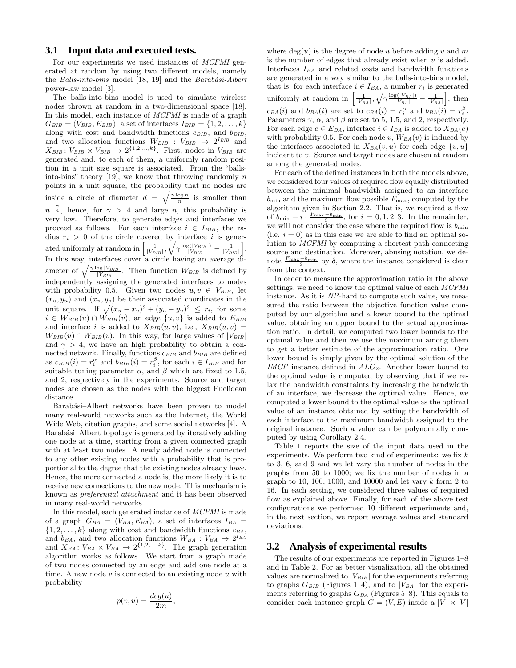#### **3.1 Input data and executed tests.**

For our experiments we used instances of MCFMI generated at random by using two different models, namely the Balls-into-bins model  $[18, 19]$  and the Barabási-Albert power-law model [3].

The balls-into-bins model is used to simulate wireless nodes thrown at random in a two-dimensional space [18]. In this model, each instance of MCFMI is made of a graph  $G_{BIB} = (V_{BIB}, E_{BIB})$ , a set of interfaces  $I_{BIB} = \{1, 2, \ldots, k\}$ along with cost and bandwidth functions  $c_{BIB}$ , and  $b_{BIB}$ , and two allocation functions  $W_{BIB}$  :  $V_{BIB}$   $\rightarrow$   $2^{I_{BIB}}$  and  $X_{BIB}: V_{BIB} \times V_{BIB} \rightarrow 2^{\{1,2,\ldots,k\}}$ . First, nodes in  $V_{BIB}$  are generated and, to each of them, a uniformly random position in a unit size square is associated. From the "ballsinto-bins" theory [19], we know that throwing randomly  $n$ points in a unit square, the probability that no nodes are inside a circle of diameter  $d = \sqrt{\frac{\gamma \log n}{n}}$  is smaller than  $n^{-\frac{\gamma}{4}}$ , hence, for  $\gamma > 4$  and large n, this probability is very low. Therefore, to generate edges and interfaces we proceed as follows. For each interface  $i \in I_{BIB}$ , the radius  $r_i > 0$  of the circle covered by interface i is generated uniformly at random in  $\left[\frac{1}{|V_{BIB}|},\right]$ <sup>y</sup>  $\gamma \frac{\log(|V_{BIB}|)}{|V_{BIB}|} - \frac{1}{|V_{BIB}|}$ i . In this way, interfaces cover a circle having an average diameter of  $\sqrt{\frac{\gamma \log |V_{BIB}|}{|V_{BIB}|}}$ . Then function  $W_{BIB}$  is defined by independently assigning the generated interfaces to nodes with probability 0.5. Given two nodes  $u, v \in V_{BIB}$ , let  $(x_u, y_u)$  and  $(x_v, y_v)$  be their associated coordinates in the  $(x_u, y_u)$  and  $(x_v, y_v)$  be their associated coordinates in the<br>unit square. If  $\sqrt{(x_u - x_v)^2 + (y_u - y_v)^2} \leq r_i$ , for some  $i \in W_{BIB}(u) \cap W_{BIB}(v)$ , an edge  $\{u, v\}$  is added to  $E_{BIB}$ and interface i is added to  $X_{BIB}(u, v)$ , i.e.,  $X_{BIB}(u, v)$  =  $W_{BIB}(u) \cap W_{BIB}(v)$ . In this way, for large values of  $|V_{BIB}|$ and  $\gamma > 4$ , we have an high probability to obtain a connected network. Finally, functions  $c_{BIB}$  and  $b_{BIB}$  are defined as  $c_{BIB}(i) = r_i^{\alpha}$  and  $b_{BIB}(i) = r_i^{\beta}$ , for each  $i \in I_{BIB}$  and for suitable tuning parameter  $\alpha$ , and  $\beta$  which are fixed to 1.5, and 2, respectively in the experiments. Source and target nodes are chosen as the nodes with the biggest Euclidean distance.

Barabási–Albert networks have been proven to model many real-world networks such as the Internet, the World Wide Web, citation graphs, and some social networks [4]. A Barabási–Albert topology is generated by iteratively adding one node at a time, starting from a given connected graph with at least two nodes. A newly added node is connected to any other existing nodes with a probability that is proportional to the degree that the existing nodes already have. Hence, the more connected a node is, the more likely it is to receive new connections to the new node. This mechanism is known as preferential attachment and it has been observed in many real-world networks.

In this model, each generated instance of MCFMI is made of a graph  $G_{BA} = (V_{BA}, E_{BA})$ , a set of interfaces  $I_{BA} =$  $\{1, 2, \ldots, k\}$  along with cost and bandwidth functions  $c_{BA}$ , and  $b_{BA}$ , and two allocation functions  $W_{BA}$  :  $V_{BA} \rightarrow 2^{I_{BA}}$ and  $X_{BA}$ :  $V_{BA} \times V_{BA} \rightarrow 2^{\{1,2,\ldots,k\}}$ . The graph generation algorithm works as follows. We start from a graph made of two nodes connected by an edge and add one node at a time. A new node  $v$  is connected to an existing node  $u$  with probability

$$
p(v, u) = \frac{deg(u)}{2m},
$$

where  $deg(u)$  is the degree of node u before adding v and m is the number of edges that already exist when  $v$  is added. Interfaces  $I_{BA}$  and related costs and bandwidth functions are generated in a way similar to the balls-into-bins model, that is, for each interface  $i \in I_{BA}$ , a number  $r_i$  is generated<br>uniformly at random in  $\left[\frac{1}{|V_{BA}|}, \sqrt{\gamma} \frac{\log(|V_{BA}|)}{|V_{BA}|} - \frac{1}{|V_{BA}|}\right]$ , then  $^{A}$ ,  $\gamma\frac{\log(|V_{BA}|)}{|V_{BA}|}-\frac{1}{|V_{BA}|}$ n<br>" , then  $c_{BA}(i)$  and  $b_{BA}(i)$  are set to  $c_{BA}(i) = r_i^{\alpha}$  and  $b_{BA}(i) = r_i^{\beta}$ . Parameters  $\gamma$ ,  $\alpha$ , and  $\beta$  are set to 5, 1.5, and 2, respectively. For each edge  $e \in E_{BA}$ , interface  $i \in I_{BA}$  is added to  $X_{BA}(e)$ with probability 0.5. For each node v,  $W_{BA}(v)$  is induced by the interfaces associated in  $X_{BA}(v, u)$  for each edge  $\{v, u\}$ incident to v. Source and target nodes are chosen at random among the generated nodes.

For each of the defined instances in both the models above, we considered four values of required flow equally distributed between the minimal bandwidth assigned to an interface  $b_{\min}$  and the maximum flow possible  $F_{\max}$ , computed by the algorithm given in Section 2.2. That is, we required a flow of  $b_{\min} + i \cdot \frac{F_{\max} - b_{\min}}{3}$ , for  $i = 0, 1, 2, 3$ . In the remainder, we will not consider the case where the required flow is  $b_{\min}$ (i.e.  $i = 0$ ) as in this case we are able to find an optimal solution to MCFMI by computing a shortest path connecting source and destination. Moreover, abusing notation, we denote  $\frac{F_{\text{max}}-b_{\text{min}}}{3}$  by  $\delta$ , where the instance considered is clear from the context.

In order to measure the approximation ratio in the above settings, we need to know the optimal value of each MCFMI instance. As it is NP-hard to compute such value, we measured the ratio between the objective function value computed by our algorithm and a lower bound to the optimal value, obtaining an upper bound to the actual approximation ratio. In detail, we computed two lower bounds to the optimal value and then we use the maximum among them to get a better estimate of the approximation ratio. One lower bound is simply given by the optimal solution of the  $IMCF$  instance defined in  $ALG_2$ . Another lower bound to the optimal value is computed by observing that if we relax the bandwidth constraints by increasing the bandwidth of an interface, we decrease the optimal value. Hence, we computed a lower bound to the optimal value as the optimal value of an instance obtained by setting the bandwidth of each interface to the maximum bandwidth assigned to the original instance. Such a value can be polynomially computed by using Corollary 2.4.

Table 1 reports the size of the input data used in the experiments. We perform two kind of experiments: we fix  $k$ to 3, 6, and 9 and we let vary the number of nodes in the graphs from 50 to 1000; we fix the number of nodes in a graph to 10, 100, 1000, and 10000 and let vary  $k$  form 2 to 16. In each setting, we considered three values of required flow as explained above. Finally, for each of the above test configurations we performed 10 different experiments and, in the next section, we report average values and standard deviations.

#### **3.2 Analysis of experimental results**

The results of our experiments are reported in Figures 1–8 and in Table 2. For as better visualization, all the obtained values are normalized to  $|V_{BIB}|$  for the experiments referring to graphs  $G_{BIB}$  (Figures 1–4), and to  $|V_{BA}|$  for the experiments referring to graphs  $G_{BA}$  (Figures 5–8). This equals to consider each instance graph  $G = (V, E)$  inside a  $|V| \times |V|$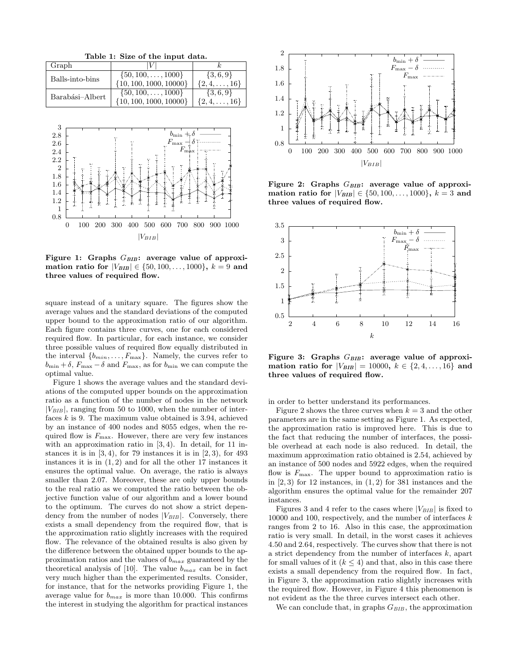Table 1: Size of the input data. Graph  $|V|$   $k$ Balls-into-bins  $\begin{bmatrix} 50, 100, \ldots, 1000 \end{bmatrix}$  {3, 6, 9}<br>{10, 100, 1000, 10000} {2, 4, ..., 16}  $\{10, 100, 1000, 10000\}$ Barabási–Albert  $\begin{bmatrix} \{50, 100, \ldots, 1000\} & \{3, 6, 9\} \\ \{10, 100, 1000, 10000\} & \{2, 4, \ldots, 16\} \end{bmatrix}$  $\{10, 100, 1000, 10000\}$ 



Figure 1: Graphs  $G_{BIB}$ : average value of approximation ratio for  $|V_{BIB}| \in \{50, 100, \ldots, 1000\}, k = 9$  and three values of required flow.

square instead of a unitary square. The figures show the average values and the standard deviations of the computed upper bound to the approximation ratio of our algorithm. Each figure contains three curves, one for each considered required flow. In particular, for each instance, we consider three possible values of required flow equally distributed in the interval  $\{b_{min}, \ldots, F_{max}\}.$  Namely, the curves refer to  $b_{\min} + \delta$ ,  $F_{\max} - \delta$  and  $F_{\max}$ , as for  $b_{\min}$  we can compute the optimal value.

Figure 1 shows the average values and the standard deviations of the computed upper bounds on the approximation ratio as a function of the number of nodes in the network  $|V_{BIB}|$ , ranging from 50 to 1000, when the number of interfaces  $k$  is 9. The maximum value obtained is 3.94, achieved by an instance of 400 nodes and 8055 edges, when the required flow is  $F_{\text{max}}$ . However, there are very few instances with an approximation ratio in  $(3, 4)$ . In detail, for 11 instances it is in  $(3, 4)$ , for 79 instances it is in  $(2, 3)$ , for 493 instances it is in  $(1, 2)$  and for all the other 17 instances it ensures the optimal value. On average, the ratio is always smaller than 2.07. Moreover, these are only upper bounds to the real ratio as we computed the ratio between the objective function value of our algorithm and a lower bound to the optimum. The curves do not show a strict dependency from the number of nodes  $|V_{BIB}|$ . Conversely, there exists a small dependency from the required flow, that is the approximation ratio slightly increases with the required flow. The relevance of the obtained results is also given by the difference between the obtained upper bounds to the approximation ratios and the values of  $b_{max}$  guaranteed by the theoretical analysis of [10]. The value  $b_{max}$  can be in fact very much higher than the experimented results. Consider, for instance, that for the networks providing Figure 1, the average value for  $b_{max}$  is more than 10.000. This confirms the interest in studying the algorithm for practical instances



Figure 2: Graphs  $G_{BIB}$ : average value of approximation ratio for  $|V_{BIB}| \in \{50, 100, \ldots, 1000\}, k = 3$  and three values of required flow.



Figure 3: Graphs  $G_{BIB}$ : average value of approximation ratio for  $|V_{BIB}| = 10000, k \in \{2, 4, ..., 16\}$  and three values of required flow.

in order to better understand its performances.

Figure 2 shows the three curves when  $k = 3$  and the other parameters are in the same setting as Figure 1. As expected, the approximation ratio is improved here. This is due to the fact that reducing the number of interfaces, the possible overhead at each node is also reduced. In detail, the maximum approximation ratio obtained is 2.54, achieved by an instance of 500 nodes and 5922 edges, when the required flow is  $F_{\text{max}}$ . The upper bound to approximation ratio is in  $(2, 3)$  for 12 instances, in  $(1, 2)$  for 381 instances and the algorithm ensures the optimal value for the remainder 207 instances.

Figures 3 and 4 refer to the cases where  $|V_{BIB}|$  is fixed to 10000 and 100, respectively, and the number of interfaces  $k$ ranges from 2 to 16. Also in this case, the approximation ratio is very small. In detail, in the worst cases it achieves 4.50 and 2.64, respectively. The curves show that there is not a strict dependency from the number of interfaces k, apart for small values of it  $(k \leq 4)$  and that, also in this case there exists a small dependency from the required flow. In fact, in Figure 3, the approximation ratio slightly increases with the required flow. However, in Figure 4 this phenomenon is not evident as the the three curves intersect each other.

We can conclude that, in graphs  $G_{BIB}$ , the approximation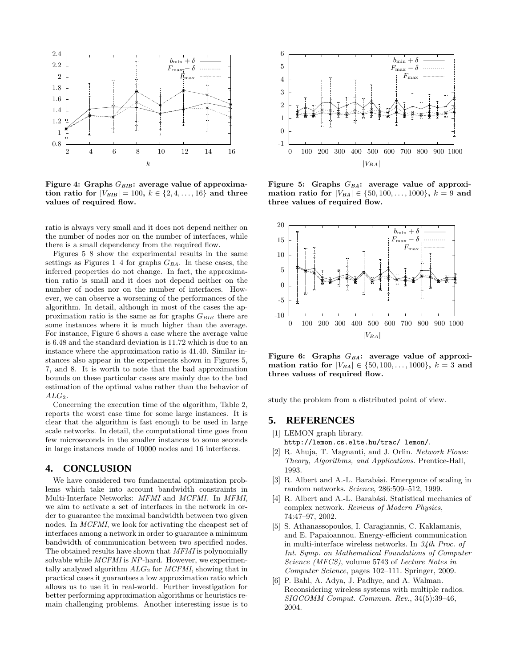

Figure 4: Graphs  $G_{BIB}$ : average value of approximation ratio for  $|V_{BIB}| = 100, k \in \{2, 4, ..., 16\}$  and three values of required flow.

ratio is always very small and it does not depend neither on the number of nodes nor on the number of interfaces, while there is a small dependency from the required flow.

Figures 5–8 show the experimental results in the same settings as Figures 1–4 for graphs  $G_{BA}$ . In these cases, the inferred properties do not change. In fact, the approximation ratio is small and it does not depend neither on the number of nodes nor on the number of interfaces. However, we can observe a worsening of the performances of the algorithm. In detail, although in most of the cases the approximation ratio is the same as for graphs  $G_{BIB}$  there are some instances where it is much higher than the average. For instance, Figure 6 shows a case where the average value is 6.48 and the standard deviation is 11.72 which is due to an instance where the approximation ratio is 41.40. Similar instances also appear in the experiments shown in Figures 5, 7, and 8. It is worth to note that the bad approximation bounds on these particular cases are mainly due to the bad estimation of the optimal value rather than the behavior of  $ALG_2$ .

Concerning the execution time of the algorithm, Table 2, reports the worst case time for some large instances. It is clear that the algorithm is fast enough to be used in large scale networks. In detail, the computational time goes from few microseconds in the smaller instances to some seconds in large instances made of 10000 nodes and 16 interfaces.

#### **4. CONCLUSION**

We have considered two fundamental optimization problems which take into account bandwidth constraints in Multi-Interface Networks: MFMI and MCFMI. In MFMI, we aim to activate a set of interfaces in the network in order to guarantee the maximal bandwidth between two given nodes. In MCFMI, we look for activating the cheapest set of interfaces among a network in order to guarantee a minimum bandwidth of communication between two specified nodes. The obtained results have shown that MFMI is polynomially solvable while MCFMI is NP-hard. However, we experimentally analyzed algorithm  $ALG_2$  for  $MCFMI$ , showing that in practical cases it guarantees a low approximation ratio which allows us to use it in real-world. Further investigation for better performing approximation algorithms or heuristics remain challenging problems. Another interesting issue is to



Figure 5: Graphs  $G_{BA}$ : average value of approximation ratio for  $|V_{BA}| \in \{50, 100, \ldots, 1000\}, k = 9$  and three values of required flow.



Figure 6: Graphs  $G_{BA}$ : average value of approximation ratio for  $|V_{BA}| \in \{50, 100, \ldots, 1000\}, k = 3$  and three values of required flow.

study the problem from a distributed point of view.

#### **5. REFERENCES**

- [1] LEMON graph library. http://lemon.cs.elte.hu/trac/ lemon/.
- [2] R. Ahuja, T. Magnanti, and J. Orlin. Network Flows: Theory, Algorithms, and Applications. Prentice-Hall, 1993.
- [3] R. Albert and A.-L. Barabási. Emergence of scaling in random networks. Science, 286:509–512, 1999.
- R. Albert and A.-L. Barabási. Statistical mechanics of complex network. Reviews of Modern Physics, 74:47–97, 2002.
- [5] S. Athanassopoulos, I. Caragiannis, C. Kaklamanis, and E. Papaioannou. Energy-efficient communication in multi-interface wireless networks. In 34th Proc. of Int. Symp. on Mathematical Foundations of Computer Science (MFCS), volume 5743 of Lecture Notes in Computer Science, pages 102–111. Springer, 2009.
- [6] P. Bahl, A. Adya, J. Padhye, and A. Walman. Reconsidering wireless systems with multiple radios. SIGCOMM Comput. Commun. Rev., 34(5):39–46, 2004.